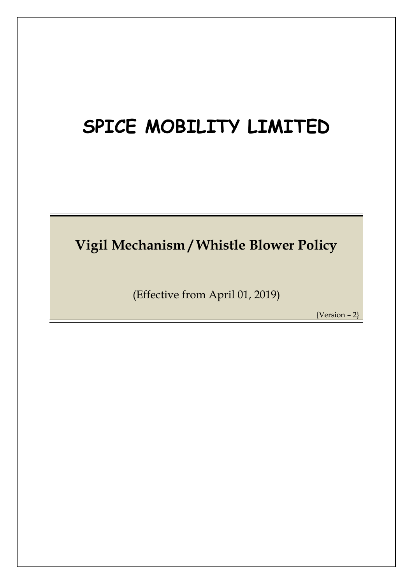# **SPICE MOBILITY LIMITED**

**Vigil Mechanism / Whistle Blower Policy**

(Effective from April 01, 2019)

{Version – 2}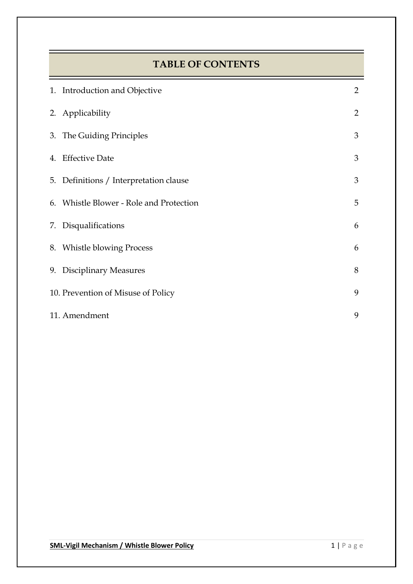# **TABLE OF CONTENTS**

| 1. Introduction and Objective           | $\overline{2}$ |
|-----------------------------------------|----------------|
| 2. Applicability                        | $\overline{2}$ |
| 3. The Guiding Principles               | 3              |
| 4. Effective Date                       | 3              |
| 5. Definitions / Interpretation clause  | 3              |
| 6. Whistle Blower - Role and Protection | 5              |
| 7. Disqualifications                    | 6              |
| 8. Whistle blowing Process              | 6              |
| 9. Disciplinary Measures                | 8              |
| 10. Prevention of Misuse of Policy      | 9              |
| 11. Amendment                           | 9              |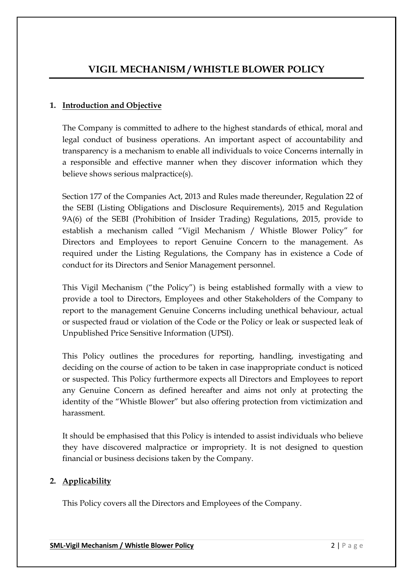# **VIGIL MECHANISM / WHISTLE BLOWER POLICY**

#### **1. Introduction and Objective**

The Company is committed to adhere to the highest standards of ethical, moral and legal conduct of business operations. An important aspect of accountability and transparency is a mechanism to enable all individuals to voice Concerns internally in a responsible and effective manner when they discover information which they believe shows serious malpractice(s).

Section 177 of the Companies Act, 2013 and Rules made thereunder, Regulation 22 of the SEBI (Listing Obligations and Disclosure Requirements), 2015 and Regulation 9A(6) of the SEBI (Prohibition of Insider Trading) Regulations, 2015, provide to establish a mechanism called "Vigil Mechanism / Whistle Blower Policy" for Directors and Employees to report Genuine Concern to the management. As required under the Listing Regulations, the Company has in existence a Code of conduct for its Directors and Senior Management personnel.

This Vigil Mechanism ("the Policy") is being established formally with a view to provide a tool to Directors, Employees and other Stakeholders of the Company to report to the management Genuine Concerns including unethical behaviour, actual or suspected fraud or violation of the Code or the Policy or leak or suspected leak of Unpublished Price Sensitive Information (UPSI).

This Policy outlines the procedures for reporting, handling, investigating and deciding on the course of action to be taken in case inappropriate conduct is noticed or suspected. This Policy furthermore expects all Directors and Employees to report any Genuine Concern as defined hereafter and aims not only at protecting the identity of the "Whistle Blower" but also offering protection from victimization and harassment.

It should be emphasised that this Policy is intended to assist individuals who believe they have discovered malpractice or impropriety. It is not designed to question financial or business decisions taken by the Company.

#### **2. Applicability**

This Policy covers all the Directors and Employees of the Company.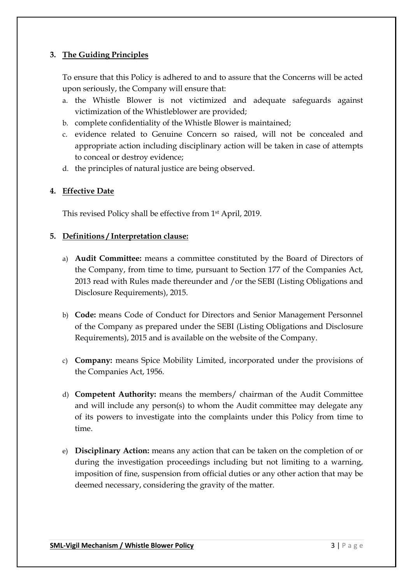# **3. The Guiding Principles**

To ensure that this Policy is adhered to and to assure that the Concerns will be acted upon seriously, the Company will ensure that:

- a. the Whistle Blower is not victimized and adequate safeguards against victimization of the Whistleblower are provided;
- b. complete confidentiality of the Whistle Blower is maintained;
- c. evidence related to Genuine Concern so raised, will not be concealed and appropriate action including disciplinary action will be taken in case of attempts to conceal or destroy evidence;
- d. the principles of natural justice are being observed.

# **4. Effective Date**

This revised Policy shall be effective from 1st April, 2019.

# **5. Definitions / Interpretation clause:**

- a) **Audit Committee:** means a committee constituted by the Board of Directors of the Company, from time to time, pursuant to Section 177 of the Companies Act, 2013 read with Rules made thereunder and /or the SEBI (Listing Obligations and Disclosure Requirements), 2015.
- b) **Code:** means Code of Conduct for Directors and Senior Management Personnel of the Company as prepared under the SEBI (Listing Obligations and Disclosure Requirements), 2015 and is available on the website of the Company.
- c) **Company:** means Spice Mobility Limited, incorporated under the provisions of the Companies Act, 1956.
- d) **Competent Authority:** means the members/ chairman of the Audit Committee and will include any person(s) to whom the Audit committee may delegate any of its powers to investigate into the complaints under this Policy from time to time.
- e) **Disciplinary Action:** means any action that can be taken on the completion of or during the investigation proceedings including but not limiting to a warning, imposition of fine, suspension from official duties or any other action that may be deemed necessary, considering the gravity of the matter.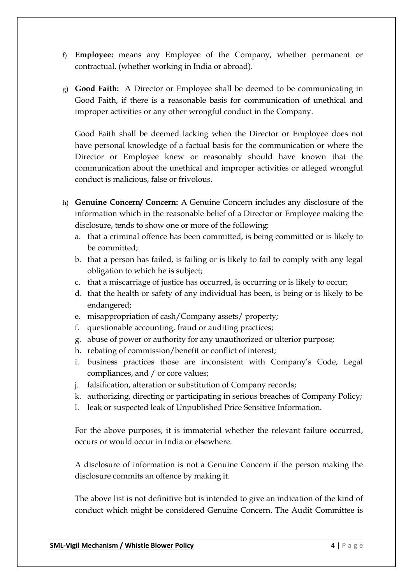- f) **Employee:** means any Employee of the Company, whether permanent or contractual, (whether working in India or abroad).
- g) **Good Faith:** A Director or Employee shall be deemed to be communicating in Good Faith, if there is a reasonable basis for communication of unethical and improper activities or any other wrongful conduct in the Company.

Good Faith shall be deemed lacking when the Director or Employee does not have personal knowledge of a factual basis for the communication or where the Director or Employee knew or reasonably should have known that the communication about the unethical and improper activities or alleged wrongful conduct is malicious, false or frivolous.

- h) **Genuine Concern/ Concern:** A Genuine Concern includes any disclosure of the information which in the reasonable belief of a Director or Employee making the disclosure, tends to show one or more of the following:
	- a. that a criminal offence has been committed, is being committed or is likely to be committed;
	- b. that a person has failed, is failing or is likely to fail to comply with any legal obligation to which he is subject;
	- c. that a miscarriage of justice has occurred, is occurring or is likely to occur;
	- d. that the health or safety of any individual has been, is being or is likely to be endangered;
	- e. misappropriation of cash/Company assets/ property;
	- f. questionable accounting, fraud or auditing practices;
	- g. abuse of power or authority for any unauthorized or ulterior purpose;
	- h. rebating of commission/benefit or conflict of interest;
	- i. business practices those are inconsistent with Company's Code, Legal compliances, and / or core values;
	- j. falsification, alteration or substitution of Company records;
	- k. authorizing, directing or participating in serious breaches of Company Policy;
	- l. leak or suspected leak of Unpublished Price Sensitive Information.

For the above purposes, it is immaterial whether the relevant failure occurred, occurs or would occur in India or elsewhere.

A disclosure of information is not a Genuine Concern if the person making the disclosure commits an offence by making it.

The above list is not definitive but is intended to give an indication of the kind of conduct which might be considered Genuine Concern. The Audit Committee is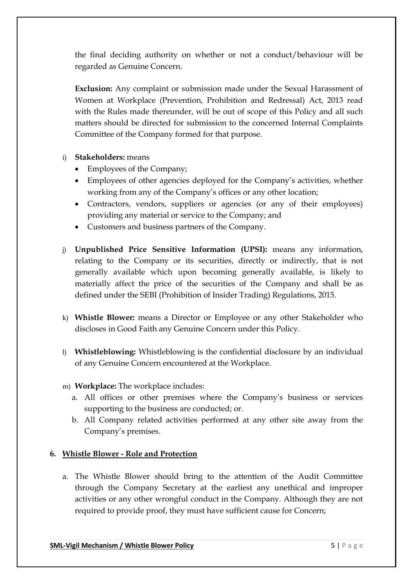the final deciding authority on whether or not a conduct/behaviour will be regarded as Genuine Concern.

**Exclusion:** Any complaint or submission made under the Sexual Harassment of Women at Workplace (Prevention, Prohibition and Redressal) Act, 2013 read with the Rules made thereunder, will be out of scope of this Policy and all such matters should be directed for submission to the concerned Internal Complaints Committee of the Company formed for that purpose.

#### i) **Stakeholders:** means

- Employees of the Company;
- Employees of other agencies deployed for the Company's activities, whether working from any of the Company's offices or any other location;
- Contractors, vendors, suppliers or agencies (or any of their employees) providing any material or service to the Company; and
- Customers and business partners of the Company.
- j) **Unpublished Price Sensitive Information (UPSI):** means any information, relating to the Company or its securities, directly or indirectly, that is not generally available which upon becoming generally available, is likely to materially affect the price of the securities of the Company and shall be as defined under the SEBI (Prohibition of Insider Trading) Regulations, 2015.
- k) **Whistle Blower:** means a Director or Employee or any other Stakeholder who discloses in Good Faith any Genuine Concern under this Policy.
- l) **Whistleblowing:** Whistleblowing is the confidential disclosure by an individual of any Genuine Concern encountered at the Workplace.
- m) **Workplace:** The workplace includes:
	- a. All offices or other premises where the Company's business or services supporting to the business are conducted; or.
	- b. All Company related activities performed at any other site away from the Company's premises.

#### **6. Whistle Blower - Role and Protection**

a. The Whistle Blower should bring to the attention of the Audit Committee through the Company Secretary at the earliest any unethical and improper activities or any other wrongful conduct in the Company. Although they are not required to provide proof, they must have sufficient cause for Concern;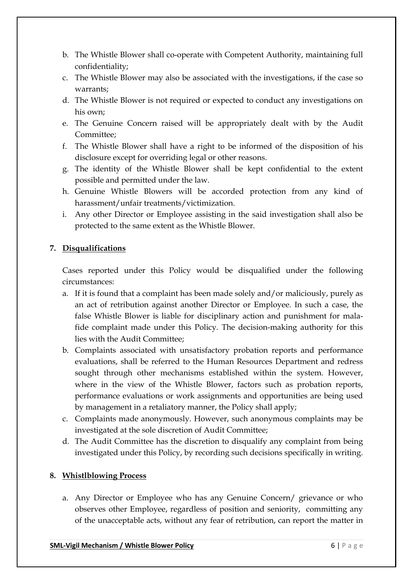- b. The Whistle Blower shall co-operate with Competent Authority, maintaining full confidentiality;
- c. The Whistle Blower may also be associated with the investigations, if the case so warrants;
- d. The Whistle Blower is not required or expected to conduct any investigations on his own;
- e. The Genuine Concern raised will be appropriately dealt with by the Audit Committee;
- f. The Whistle Blower shall have a right to be informed of the disposition of his disclosure except for overriding legal or other reasons.
- g. The identity of the Whistle Blower shall be kept confidential to the extent possible and permitted under the law.
- h. Genuine Whistle Blowers will be accorded protection from any kind of harassment/unfair treatments/victimization.
- i. Any other Director or Employee assisting in the said investigation shall also be protected to the same extent as the Whistle Blower.

# **7. Disqualifications**

Cases reported under this Policy would be disqualified under the following circumstances:

- a. If it is found that a complaint has been made solely and/or maliciously, purely as an act of retribution against another Director or Employee. In such a case, the false Whistle Blower is liable for disciplinary action and punishment for malafide complaint made under this Policy. The decision-making authority for this lies with the Audit Committee;
- b. Complaints associated with unsatisfactory probation reports and performance evaluations, shall be referred to the Human Resources Department and redress sought through other mechanisms established within the system. However, where in the view of the Whistle Blower, factors such as probation reports, performance evaluations or work assignments and opportunities are being used by management in a retaliatory manner, the Policy shall apply;
- c. Complaints made anonymously. However, such anonymous complaints may be investigated at the sole discretion of Audit Committee;
- d. The Audit Committee has the discretion to disqualify any complaint from being investigated under this Policy, by recording such decisions specifically in writing.

# **8. Whistlblowing Process**

a. Any Director or Employee who has any Genuine Concern/ grievance or who observes other Employee, regardless of position and seniority, committing any of the unacceptable acts, without any fear of retribution, can report the matter in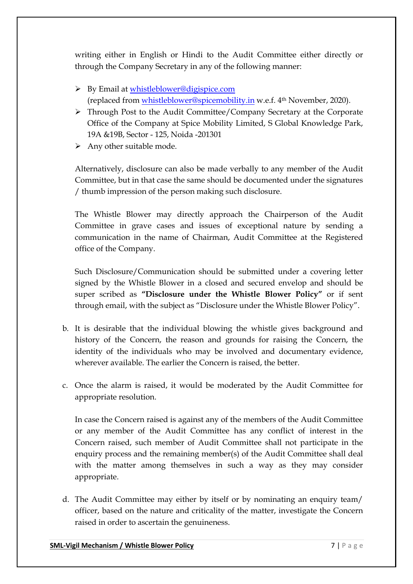writing either in English or Hindi to the Audit Committee either directly or through the Company Secretary in any of the following manner:

- By Email at [whistleblower@digispice.com](mailto:whistleblower@digispice.com) (replaced from [whistleblower@spicemobility.in](mailto:whistleblower@spicemobility.in) w.e.f. 4th November, 2020).
- Through Post to the Audit Committee/Company Secretary at the Corporate Office of the Company at Spice Mobility Limited, S Global Knowledge Park, 19A &19B, Sector - 125, Noida -201301
- $\triangleright$  Any other suitable mode.

Alternatively, disclosure can also be made verbally to any member of the Audit Committee, but in that case the same should be documented under the signatures / thumb impression of the person making such disclosure.

The Whistle Blower may directly approach the Chairperson of the Audit Committee in grave cases and issues of exceptional nature by sending a communication in the name of Chairman, Audit Committee at the Registered office of the Company.

Such Disclosure/Communication should be submitted under a covering letter signed by the Whistle Blower in a closed and secured envelop and should be super scribed as **"Disclosure under the Whistle Blower Policy"** or if sent through email, with the subject as "Disclosure under the Whistle Blower Policy".

- b. It is desirable that the individual blowing the whistle gives background and history of the Concern, the reason and grounds for raising the Concern, the identity of the individuals who may be involved and documentary evidence, wherever available. The earlier the Concern is raised, the better.
- c. Once the alarm is raised, it would be moderated by the Audit Committee for appropriate resolution.

In case the Concern raised is against any of the members of the Audit Committee or any member of the Audit Committee has any conflict of interest in the Concern raised, such member of Audit Committee shall not participate in the enquiry process and the remaining member(s) of the Audit Committee shall deal with the matter among themselves in such a way as they may consider appropriate.

d. The Audit Committee may either by itself or by nominating an enquiry team/ officer, based on the nature and criticality of the matter, investigate the Concern raised in order to ascertain the genuineness.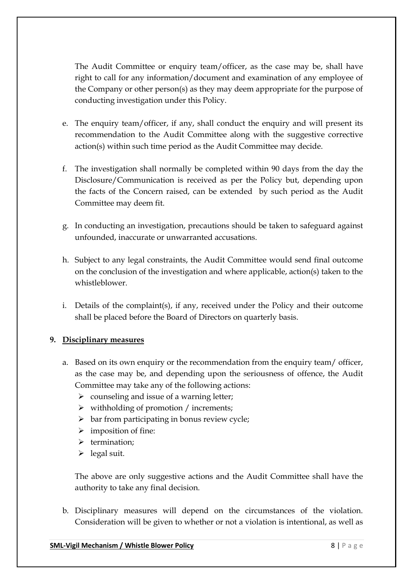The Audit Committee or enquiry team/officer, as the case may be, shall have right to call for any information/document and examination of any employee of the Company or other person(s) as they may deem appropriate for the purpose of conducting investigation under this Policy.

- e. The enquiry team/officer, if any, shall conduct the enquiry and will present its recommendation to the Audit Committee along with the suggestive corrective action(s) within such time period as the Audit Committee may decide.
- f. The investigation shall normally be completed within 90 days from the day the Disclosure/Communication is received as per the Policy but, depending upon the facts of the Concern raised, can be extended by such period as the Audit Committee may deem fit.
- g. In conducting an investigation, precautions should be taken to safeguard against unfounded, inaccurate or unwarranted accusations.
- h. Subject to any legal constraints, the Audit Committee would send final outcome on the conclusion of the investigation and where applicable, action(s) taken to the whistleblower.
- i. Details of the complaint(s), if any, received under the Policy and their outcome shall be placed before the Board of Directors on quarterly basis.

# **9. Disciplinary measures**

- a. Based on its own enquiry or the recommendation from the enquiry team/ officer, as the case may be, and depending upon the seriousness of offence, the Audit Committee may take any of the following actions:
	- $\triangleright$  counseling and issue of a warning letter;
	- $\triangleright$  withholding of promotion / increments;
	- $\triangleright$  bar from participating in bonus review cycle;
	- $\triangleright$  imposition of fine:
	- $\triangleright$  termination;
	- $\blacktriangleright$  legal suit.

The above are only suggestive actions and the Audit Committee shall have the authority to take any final decision.

b. Disciplinary measures will depend on the circumstances of the violation. Consideration will be given to whether or not a violation is intentional, as well as